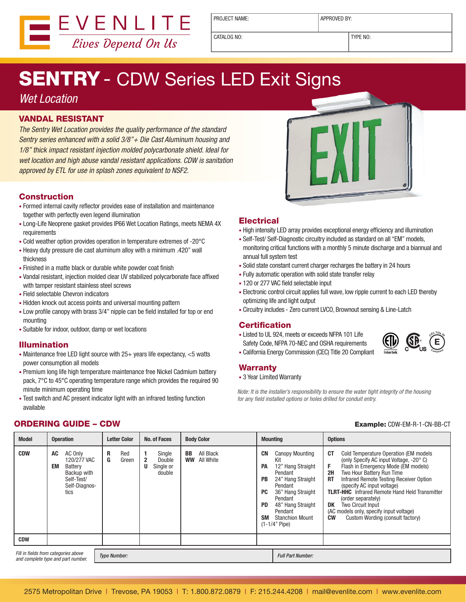

PROJECT NAME:  $\vert$  APPROVED BY:

CATALOG NO: TYPE NO:

# **SENTRY** - CDW Series LED Exit Signs

### Wet Location

#### VANDAL RESISTANT

The Sentry Wet Location provides the quality performance of the standard Sentry series enhanced with a solid 3/8"+ Die Cast Aluminum housing and 1/8" thick impact resistant injection molded polycarbonate shield. Ideal for wet location and high abuse vandal resistant applications. CDW is sanitation approved by ETL for use in splash zones equivalent to NSF2.

#### Construction

- Formed internal cavity reflector provides ease of installation and maintenance together with perfectly even legend illumination
- Long-Life Neoprene gasket provides IP66 Wet Location Ratings, meets NEMA 4X requirements
- Cold weather option provides operation in temperature extremes of -20°C
- Heavy duty pressure die cast aluminum alloy with a minimum .420" wall thickness
- Finished in a matte black or durable white powder coat finish
- Vandal resistant, injection molded clear UV stabilized polycarbonate face affixed with tamper resistant stainless steel screws
- Field selectable Chevron indicators
- Hidden knock out access points and universal mounting pattern
- Low profile canopy with brass 3/4" nipple can be field installed for top or end mounting
- Suitable for indoor, outdoor, damp or wet locations

#### Illumination

- Maintenance free LED light source with 25+ years life expectancy, <5 watts power consumption all models
- Premium long life high temperature maintenance free Nickel Cadmium battery pack, 7°C to 45°C operating temperature range which provides the required 90 minute minimum operating time
- Test switch and AC present indicator light with an infrared testing function available



### **Electrical**

- High intensity LED array provides exceptional energy efficiency and illumination
- Self-Test/ Self-Diagnostic circuitry included as standard on all "EM" models, monitoring critical functions with a monthly 5 minute discharge and a biannual and annual full system test
- Solid state constant current charger recharges the battery in 24 hours
- Fully automatic operation with solid state transfer relay
- 120 or 277 VAC field selectable input
- Electronic control circuit applies full wave, low ripple current to each LED thereby optimizing life and light output
- Circuitry includes Zero current LVCO, Brownout sensing & Line-Latch

#### **Certification**

• Listed to UL 924, meets or exceeds NFPA 101 Life Safety Code, NFPA 70-NEC and OSHA requirements



• California Energy Commission (CEC) Title 20 Compliant

#### **Warranty**

• 3 Year Limited Warranty

Note: It is the installer's responsibility to ensure the water tight integrity of the housing for any field installed options or holes drilled for conduit entry.

#### **ORDERING GUIDE – CDW Example:** CDW-EM-R-1-CN-BB-CT

| <b>Model</b>                                        | <b>Operation</b>                                                                                    | <b>Letter Color</b>                           | <b>No. of Faces</b>                     | <b>Body Color</b>                                | <b>Mounting</b>                                                                                                                                                                                                                                                                   | <b>Options</b>                                                                                                                                                                                                                                                                                                                                                                                                                                                                  |
|-----------------------------------------------------|-----------------------------------------------------------------------------------------------------|-----------------------------------------------|-----------------------------------------|--------------------------------------------------|-----------------------------------------------------------------------------------------------------------------------------------------------------------------------------------------------------------------------------------------------------------------------------------|---------------------------------------------------------------------------------------------------------------------------------------------------------------------------------------------------------------------------------------------------------------------------------------------------------------------------------------------------------------------------------------------------------------------------------------------------------------------------------|
| <b>CDW</b>                                          | AC Only<br>AC<br>120/277 VAC<br>EM<br>Battery<br>Backup with<br>Self-Test/<br>Self-Diagnos-<br>tics | R<br>Red<br>G<br>$\overline{2}$<br>Green<br>U | Single<br>Double<br>Single or<br>double | All Black<br><b>BB</b><br><b>WW</b><br>All White | <b>CN</b><br>Canopy Mounting<br>Kit<br>12" Hang Straight<br><b>PA</b><br>Pendant<br><b>PB</b><br>24" Hang Straight<br>Pendant<br>36" Hang Straight<br><b>PC</b><br>Pendant<br>48" Hang Straight<br><b>PD</b><br>Pendant<br><b>SM</b><br><b>Stanchion Mount</b><br>$(1-1/4"$ Pipe) | <b>CT</b><br>Cold Temperature Operation (EM models<br>(only Specify AC input Voltage, -20° C)<br>F<br>Flash in Emergency Mode (EM models)<br>Two Hour Battery Run Time<br>2H<br>Infrared Remote Testing Receiver Option<br><b>RT</b><br>(specify AC input voltage)<br><b>TLRT-HHC</b> Infrared Remote Hand Held Transmitter<br>(order separately)<br>DK<br><b>Two Circuit Input</b><br>(AC models only, specify input voltage)<br>Custom Wording (consult factory)<br><b>CW</b> |
| <b>CDW</b>                                          |                                                                                                     |                                               |                                         |                                                  |                                                                                                                                                                                                                                                                                   |                                                                                                                                                                                                                                                                                                                                                                                                                                                                                 |
| Fill in fields from categories above<br>Tyne Numher |                                                                                                     |                                               |                                         |                                                  | <b>Full Part Numher:</b>                                                                                                                                                                                                                                                          |                                                                                                                                                                                                                                                                                                                                                                                                                                                                                 |

and complete type and part number.